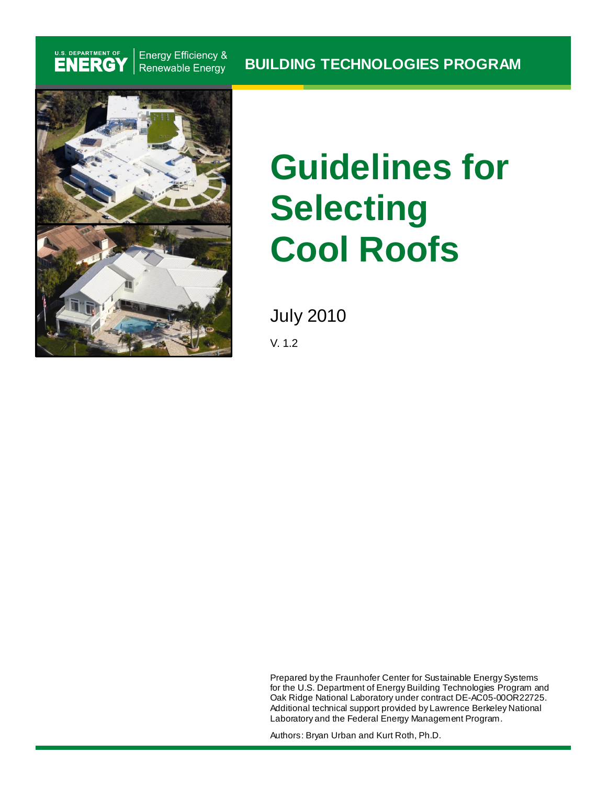## U.S. DEPARTMENT OF

**Energy Efficiency &** Renewable Energy



# **Guidelines for Selecting Cool Roofs**

July 2010

V. 1.2

Prepared by the Fraunhofer Center for Sustainable Energy Systems for the U.S. Department of Energy Building Technologies Program and Oak Ridge National Laboratory under contract DE-AC05-00OR22725. Additional technical support provided by Lawrence Berkeley National Laboratory and the Federal Energy Management Program.

Authors: Bryan Urban and Kurt Roth, Ph.D.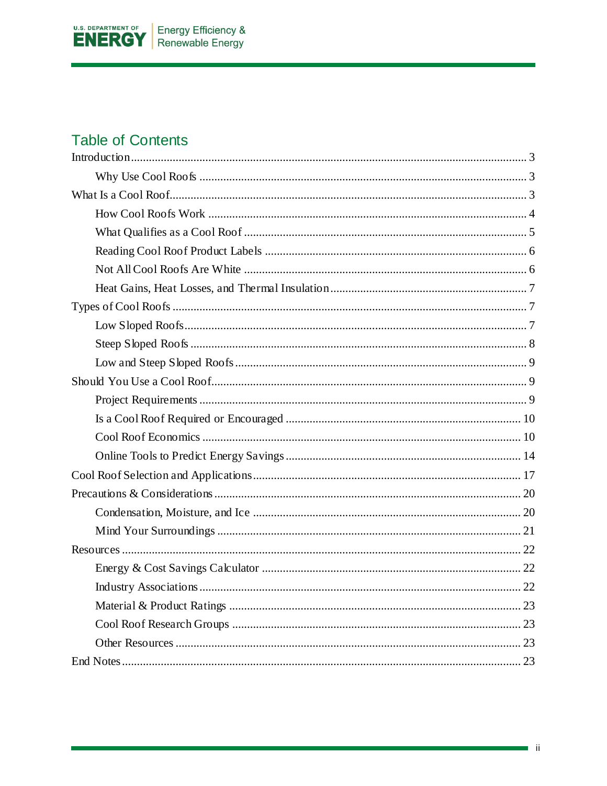

## **Table of Contents**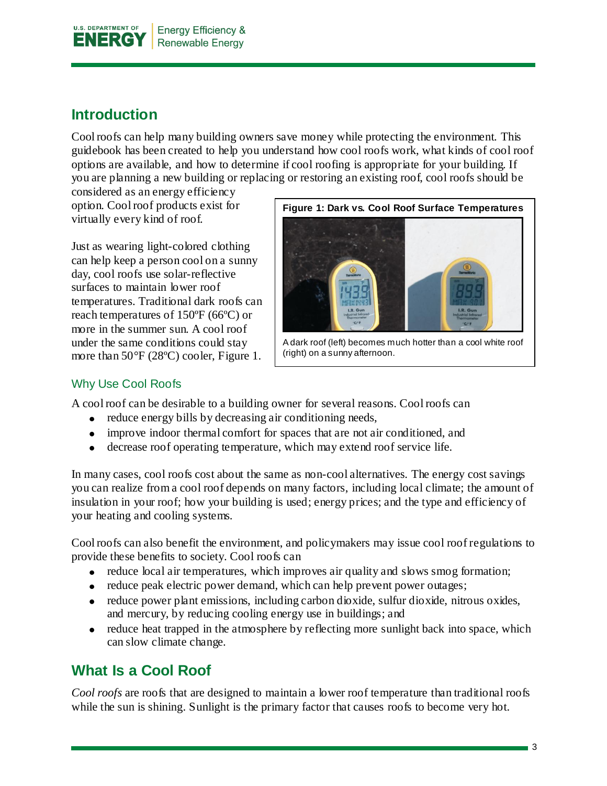

## <span id="page-2-0"></span>**Introduction**

Cool roofs can help many building owners save money while protecting the environment. This guidebook has been created to help you understand how cool roofs work, what kinds of cool roof options are available, and how to determine if cool roofing is appropriate for your building. If you are planning a new building or replacing or restoring an existing roof, cool roofs should be

considered as an energy efficiency option. Cool roof products exist for virtually every kind of roof.

Just as wearing light-colored clothing can help keep a person cool on a sunny day, cool roofs use solar-reflective surfaces to maintain lower roof temperatures. Traditional dark roofs can reach temperatures of 150ºF (66ºC) or more in the summer sun. A cool roof under the same conditions could stay more than 50°F (28ºC) cooler, Figure 1.



A dark roof (left) becomes much hotter than a cool white roof (right) on a sunny afternoon.

#### <span id="page-2-1"></span>Why Use Cool Roofs

A cool roof can be desirable to a building owner for several reasons. Cool roofs can

- reduce energy bills by decreasing air conditioning needs,
- improve indoor thermal comfort for spaces that are not air conditioned, and
- decrease roof operating temperature, which may extend roof service life.

In many cases, cool roofs cost about the same as non-cool alternatives. The energy cost savings you can realize from a cool roof depends on many factors, including local climate; the amount of insulation in your roof; how your building is used; energy prices; and the type and efficiency of your heating and cooling systems.

Cool roofs can also benefit the environment, and policymakers may issue cool roof regulations to provide these benefits to society. Cool roofs can

- reduce local air temperatures, which improves air quality and slows smog formation;
- reduce peak electric power demand, which can help prevent power outages;
- reduce power plant emissions, including carbon dioxide, sulfur dioxide, nitrous oxides, and mercury, by reducing cooling energy use in buildings; and
- $\bullet$  reduce heat trapped in the atmosphere by reflecting more sunlight back into space, which can slow climate change.

## <span id="page-2-2"></span>**What Is a Cool Roof**

*Cool roofs* are roofs that are designed to maintain a lower roof temperature than traditional roofs while the sun is shining. Sunlight is the primary factor that causes roofs to become very hot.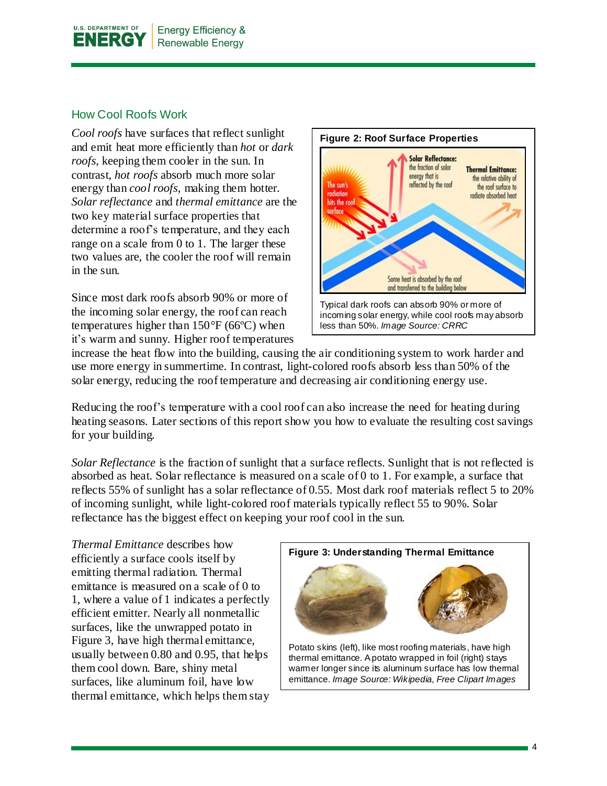

#### <span id="page-3-0"></span>How Cool Roofs Work

*Cool roofs* have surfaces that reflect sunlight and emit heat more efficiently than *hot* or *dark roofs*, keeping them cooler in the sun. In contrast, *hot roofs* absorb much more solar energy than *cool roofs*, making them hotter. *Solar reflectance* and *thermal emittance* are the two key material surface properties that determine a roof's temperature, and they each range on a scale from 0 to 1. The larger these two values are, the cooler the roof will remain in the sun.

Since most dark roofs absorb 90% or more of the incoming solar energy, the roof can reach temperatures higher than 150°F (66ºC) when it's warm and sunny. Higher roof temperatures



increase the heat flow into the building, causing the air conditioning system to work harder and use more energy in summertime. In contrast, light-colored roofs absorb less than 50% of the solar energy, reducing the roof temperature and decreasing air conditioning energy use.

Reducing the roof's temperature with a cool roof can also increase the need for heating during heating seasons. Later sections of this report show you how to evaluate the resulting cost savings for your building.

*Solar Reflectance* is the fraction of sunlight that a surface reflects. Sunlight that is not reflected is absorbed as heat. Solar reflectance is measured on a scale of 0 to 1. For example, a surface that reflects 55% of sunlight has a solar reflectance of 0.55. Most dark roof materials reflect 5 to 20% of incoming sunlight, while light-colored roof materials typically reflect 55 to 90%. Solar reflectance has the biggest effect on keeping your roof cool in the sun.

*Thermal Emittance* describes how efficiently a surface cools itself by emitting thermal radiation. Thermal emittance is measured on a scale of 0 to 1, where a value of 1 indicates a perfectly efficient emitter. Nearly all nonmetallic surfaces, like the unwrapped potato in Figure 3, have high thermal emittance, usually between 0.80 and 0.95, that helps them cool down. Bare, shiny metal surfaces, like aluminum foil, have low thermal emittance, which helps them stay

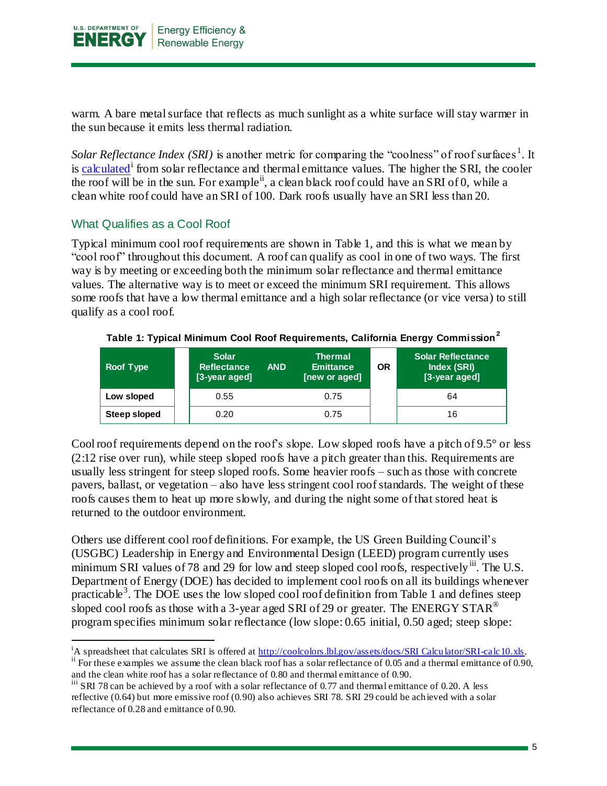

warm. A bare metal surface that reflects as much sunlight as a white surface will stay warmer in the sun because it emits less thermal radiation.

Solar Reflectance Index (SRI) is another metric for comparing the "coolness" of roof surfaces<sup>1</sup>. It is [calculated](http://coolcolors.lbl.gov/assets/docs/SRI%20Calculator/SRI-calc10.xls)<sup>1</sup> from solar reflectance and thermal emittance values. The higher the SRI, the cooler the roof will be in the sun. For example<sup>ii</sup>, a clean black roof could have an SRI of 0, while a clean white roof could have an SRI of 100. Dark roofs usually have an SRI less than 20.

#### <span id="page-4-0"></span>What Qualifies as a Cool Roof

Typical minimum cool roof requirements are shown in Table 1, and this is what we mean by "cool roof" throughout this document. A roof can qualify as cool in one of two ways. The first way is by meeting or exceeding both the minimum solar reflectance and thermal emittance values. The alternative way is to meet or exceed the minimum SRI requirement. This allows some roofs that have a low thermal emittance and a high solar reflectance (or vice versa) to still qualify as a cool roof.

| Roof Type           | <b>Solar</b><br><b>Reflectance</b><br>[3-year aged] | <b>AND</b> | <b>Thermal</b><br><b>Emittance</b><br>[new or aged] | ΟR | <b>Solar Reflectance</b><br>Index (SRI)<br>[3-year aged] |
|---------------------|-----------------------------------------------------|------------|-----------------------------------------------------|----|----------------------------------------------------------|
| Low sloped          | 0.55                                                |            | 0.75                                                |    | 64                                                       |
| <b>Steep sloped</b> | 0.20                                                |            | 0.75                                                |    | 16                                                       |

**Table 1: Typical Minimum Cool Roof Requirements, California Energy Commission<sup>2</sup>**

Cool roof requirements depend on the roof's slope. Low sloped roofs have a pitch of 9.5° or less (2:12 rise over run), while steep sloped roofs have a pitch greater than this. Requirements are usually less stringent for steep sloped roofs. Some heavier roofs – such as those with concrete pavers, ballast, or vegetation – also have less stringent cool roof standards. The weight of these roofs causes them to heat up more slowly, and during the night some of that stored heat is returned to the outdoor environment.

Others use different cool roof definitions. For example, the US Green Building Council's (USGBC) Leadership in Energy and Environmental Design (LEED) program currently uses minimum SRI values of 78 and 29 for low and steep sloped cool roofs, respectively iii. The U.S. Department of Energy (DOE) has decided to implement cool roofs on all its buildings whenever practicable<sup>3</sup>. The DOE uses the low sloped cool roof definition from Table 1 and defines steep sloped cool roofs as those with a 3-year aged SRI of 29 or greater. The ENERGY STAR<sup>®</sup> program specifies minimum solar reflectance (low slope: 0.65 initial, 0.50 aged; steep slope:

l <sup>i</sup>A spreadsheet that calculates SRI is offered at [http://coolcolors.lbl.gov/assets/docs/SRI Calculator/SRI-calc10.xls.](http://coolcolors.lbl.gov/assets/docs/SRI%20Calculator/SRI-calc10.xls)

<sup>&</sup>lt;sup>ii</sup> For these examples we assume the clean black roof has a solar reflectance of 0.05 and a thermal emittance of 0.90, and the clean white roof has a solar reflectance of 0.80 and thermal emittance of 0.90.

iii SRI 78 can be achieved by a roof with a solar reflectance of 0.77 and thermal emittance of 0.20. A less reflective (0.64) but more emissive roof (0.90) also achieves SRI 78. SRI 29 could be achieved with a solar reflectance of 0.28 and emittance of 0.90.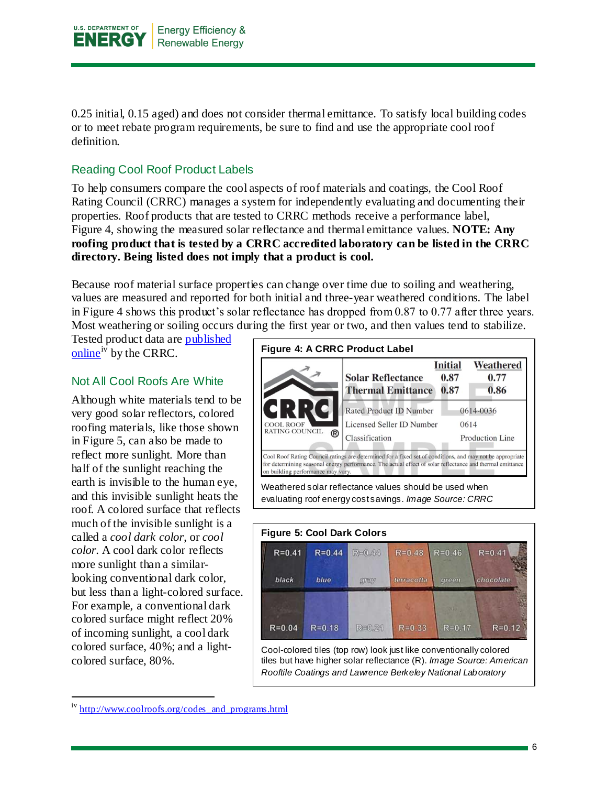

0.25 initial, 0.15 aged) and does not consider thermal emittance. To satisfy local building codes or to meet rebate program requirements, be sure to find and use the appropriate cool roof definition.

#### <span id="page-5-0"></span>Reading Cool Roof Product Labels

To help consumers compare the cool aspects of roof materials and coatings, the Cool Roof Rating Council (CRRC) manages a system for independently evaluating and documenting their properties. Roof products that are tested to CRRC methods receive a performance label, Figure 4, showing the measured solar reflectance and thermal emittance values. **NOTE: Any roofing product that is tested by a CRRC accredited laboratory can be listed in the CRRC directory. Being listed does not imply that a product is cool.**

Because roof material surface properties can change over time due to soiling and weathering, values are measured and reported for both initial and three-year weathered conditions. The label in Figure 4 shows this product's solar reflectance has dropped from 0.87 to 0.77 after three years. Most weathering or soiling occurs during the first year or two, and then values tend to stabilize.

Tested product data are [published](http://www.coolroofs.org/codes_and_programs.html)  [online](http://www.coolroofs.org/codes_and_programs.html)<sup>iv</sup> by the CRRC.

#### <span id="page-5-1"></span>Not All Cool Roofs Are White

Although white materials tend to be very good solar reflectors, colored roofing materials, like those shown in Figure 5, can also be made to reflect more sunlight. More than half of the sunlight reaching the earth is invisible to the human eye, and this invisible sunlight heats the roof. A colored surface that reflects much of the invisible sunlight is a called a *cool dark color*, or *cool color*. A cool dark color reflects more sunlight than a similarlooking conventional dark color, but less than a light-colored surface. For example, a conventional dark colored surface might reflect 20% of incoming sunlight, a cool dark colored surface, 40%; and a lightcolored surface, 80%.





tiles but have higher solar reflectance (R). *Image Source: American Rooftile Coatings and Lawrence Berkeley National Laboratory*

iv [http://www.coolroofs.org/codes\\_and\\_programs.html](http://www.coolroofs.org/codes_and_programs.html)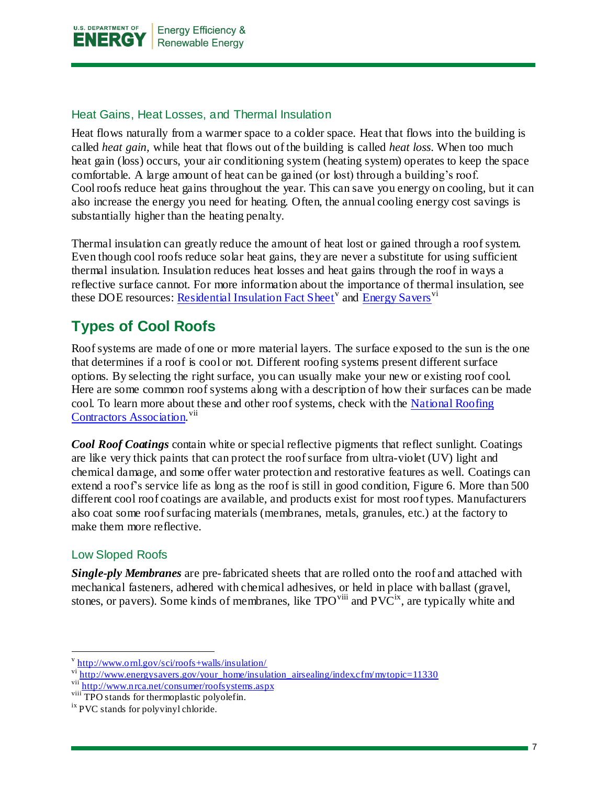

#### <span id="page-6-0"></span>Heat Gains, Heat Losses, and Thermal Insulation

Heat flows naturally from a warmer space to a colder space. Heat that flows into the building is called *heat gain,* while heat that flows out of the building is called *heat loss*. When too much heat gain (loss) occurs, your air conditioning system (heating system) operates to keep the space comfortable. A large amount of heat can be gained (or lost) through a building's roof. Cool roofs reduce heat gains throughout the year. This can save you energy on cooling, but it can also increase the energy you need for heating. Often, the annual cooling energy cost savings is substantially higher than the heating penalty.

Thermal insulation can greatly reduce the amount of heat lost or gained through a roofsystem. Even though cool roofs reduce solar heat gains, they are never a substitute for using sufficient thermal insulation. Insulation reduces heat losses and heat gains through the roof in ways a reflective surface cannot. For more information about the importance of thermal insulation, see these DOE resources: <u>Residential Insulation Fact Sheet</u><sup>v</sup> and [Energy Savers](http://www.energysavers.gov/your_home/insulation_airsealing/index.cfm/mytopic=11330)<sup>vi</sup>

## <span id="page-6-1"></span>**Types of Cool Roofs**

Roof systems are made of one or more material layers. The surface exposed to the sun is the one that determines if a roof is cool or not. Different roofing systems present different surface options. By selecting the right surface, you can usually make your new or existing roof cool. Here are some common roof systems along with a description of how their surfaces can be made cool. To learn more about these and other roof systems, check with the [National Roofing](http://www.nrca.net/consumer/roofsystems.aspx)  [Contractors Association.](http://www.nrca.net/consumer/roofsystems.aspx)<sup>vii</sup>

*Cool Roof Coatings* contain white or special reflective pigments that reflect sunlight. Coatings are like very thick paints that can protect the roof surface from ultra-violet (UV) light and chemical damage, and some offer water protection and restorative features as well. Coatings can extend a roof's service life as long as the roof is still in good condition, Figure 6. More than 500 different cool roof coatings are available, and products exist for most roof types. Manufacturers also coat some roof surfacing materials (membranes, metals, granules, etc.) at the factory to make them more reflective.

#### <span id="page-6-2"></span>Low Sloped Roofs

l

*Single-ply Membranes* are pre-fabricated sheets that are rolled onto the roof and attached with mechanical fasteners, adhered with chemical adhesives, or held in place with ballast (gravel, stones, or pavers). Some kinds of membranes, like  $TPO<sup>viii</sup>$  and  $PVC<sup>ix</sup>$ , are typically white and

v<br><http://www.ornl.gov/sci/roofs+walls/insulation/>

vi [http://www.energysavers.gov/your\\_home/insulation\\_airsealing/index.cfm/mytopic=11330](http://www.energysavers.gov/your_home/insulation_airsealing/index.cfm/mytopic=11330)

vii <http://www.nrca.net/consumer/roofsystems.aspx>

<sup>&</sup>lt;sup>viii</sup> TPO stands for thermoplastic polyolefin.

<sup>&</sup>lt;sup>ix</sup> PVC stands for polyvinyl chloride.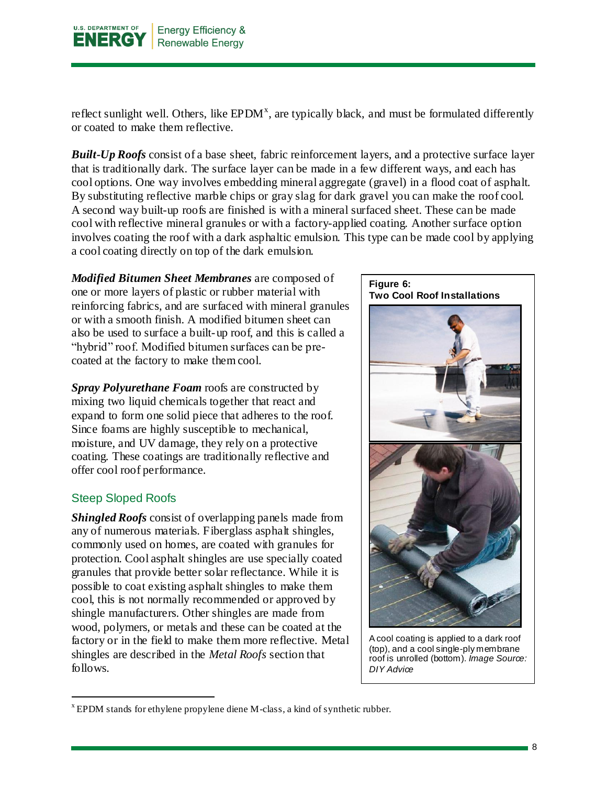

reflect sunlight well. Others, like  $EPDM<sup>x</sup>$ , are typically black, and must be formulated differently or coated to make them reflective.

*Built-Up Roofs* consist of a base sheet, fabric reinforcement layers, and a protective surface layer that is traditionally dark. The surface layer can be made in a few different ways, and each has cool options. One way involves embedding mineral aggregate (gravel) in a flood coat of asphalt. By substituting reflective marble chips or gray slag for dark gravel you can make the roof cool. A second way built-up roofs are finished is with a mineral surfaced sheet. These can be made cool with reflective mineral granules or with a factory-applied coating. Another surface option involves coating the roof with a dark asphaltic emulsion. This type can be made cool by applying a cool coating directly on top of the dark emulsion.

*Modified Bitumen Sheet Membranes* are composed of one or more layers of plastic or rubber material with reinforcing fabrics, and are surfaced with mineral granules or with a smooth finish. A modified bitumen sheet can also be used to surface a built-up roof, and this is called a "hybrid" roof. Modified bitumen surfaces can be precoated at the factory to make them cool.

*Spray Polyurethane Foam* roofs are constructed by mixing two liquid chemicals together that react and expand to form one solid piece that adheres to the roof. Since foams are highly susceptible to mechanical, moisture, and UV damage, they rely on a protective coating. These coatings are traditionally reflective and offer cool roof performance.

#### <span id="page-7-0"></span>Steep Sloped Roofs

 $\overline{a}$ 

*Shingled Roofs* consist of overlapping panels made from any of numerous materials. Fiberglass asphalt shingles, commonly used on homes, are coated with granules for protection. Cool asphalt shingles are use specially coated granules that provide better solar reflectance. While it is possible to coat existing asphalt shingles to make them cool, this is not normally recommended or approved by shingle manufacturers. Other shingles are made from wood, polymers, or metals and these can be coated at the factory or in the field to make them more reflective. Metal shingles are described in the *Metal Roofs* section that follows.

**Figure 6: Two Cool Roof Installations**

A cool coating is applied to a dark roof (top), and a cool single-ply membrane roof is unrolled (bottom). *Image Source: DIY Advice*

<sup>&</sup>lt;sup>x</sup> EPDM stands for ethylene propylene diene M-class, a kind of synthetic rubber.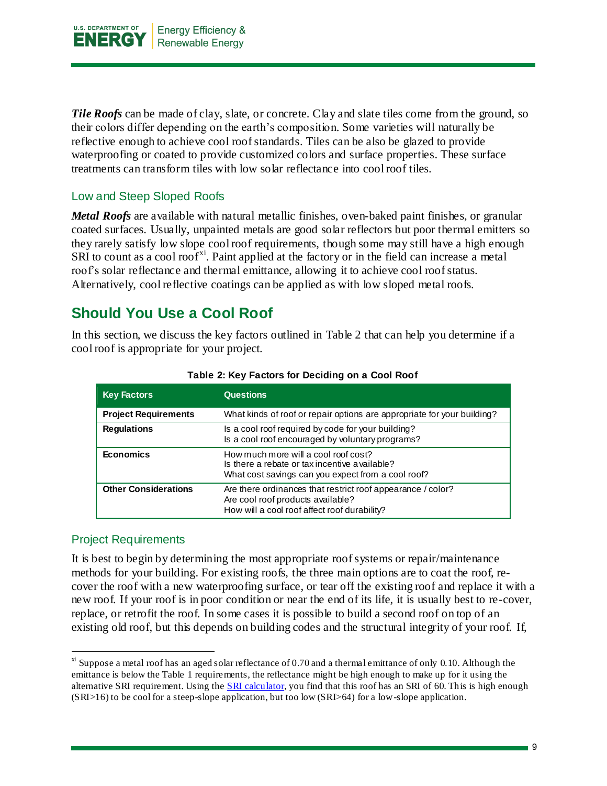

*Tile Roofs* can be made of clay, slate, or concrete. Clay and slate tiles come from the ground, so their colors differ depending on the earth's composition. Some varieties will naturally be reflective enough to achieve cool roof standards. Tiles can be also be glazed to provide waterproofing or coated to provide customized colors and surface properties. These surface treatments can transform tiles with low solar reflectance into cool roof tiles.

#### <span id="page-8-0"></span>Low and Steep Sloped Roofs

*Metal Roofs* are available with natural metallic finishes, oven-baked paint finishes, or granular coated surfaces. Usually, unpainted metals are good solar reflectors but poor thermal emitters so they rarely satisfy low slope cool roof requirements, though some may still have a high enough SRI to count as a cool roof<sup>xi</sup>. Paint applied at the factory or in the field can increase a metal roof's solar reflectance and thermal emittance, allowing it to achieve cool roof status. Alternatively, cool reflective coatings can be applied as with low sloped metal roofs.

## <span id="page-8-1"></span>**Should You Use a Cool Roof**

In this section, we discuss the key factors outlined in Table 2 that can help you determine if a cool roof is appropriate for your project.

| <b>Key Factors</b>          | <b>Questions</b>                                                                                                                                 |
|-----------------------------|--------------------------------------------------------------------------------------------------------------------------------------------------|
| <b>Project Requirements</b> | What kinds of roof or repair options are appropriate for your building?                                                                          |
| <b>Regulations</b>          | Is a cool roof required by code for your building?<br>Is a cool roof encouraged by voluntary programs?                                           |
| <b>Economics</b>            | How much more will a cool roof cost?<br>Is there a rebate or tax incentive available?<br>What cost savings can you expect from a cool roof?      |
| <b>Other Considerations</b> | Are there ordinances that restrict roof appearance / color?<br>Are cool roof products available?<br>How will a cool roof affect roof durability? |

#### **Table 2: Key Factors for Deciding on a Cool Roof**

#### <span id="page-8-2"></span>Project Requirements

l

It is best to begin by determining the most appropriate roof systems or repair/maintenance methods for your building. For existing roofs, the three main options are to coat the roof, recover the roof with a new waterproofing surface, or tear off the existing roof and replace it with a new roof. If your roof is in poor condition or near the end of its life, it is usually best to re-cover, replace, or retrofit the roof. In some cases it is possible to build a second roof on top of an existing old roof, but this depends on building codes and the structural integrity of your roof. If,

 $\frac{x}{x}$  Suppose a metal roof has an aged solar reflectance of 0.70 and a thermal emittance of only 0.10. Although the emittance is below the Table 1 requirements, the reflectance might be high enough to make up for it using the alternative SRI requirement. Using the [SRI calculator,](http://coolcolors.lbl.gov/assets/docs/SRI%20Calculator/SRI-calc10.xls) you find that this roof has an SRI of 60. This is high enough (SRI>16) to be cool for a steep-slope application, but too low (SRI>64) for a low-slope application.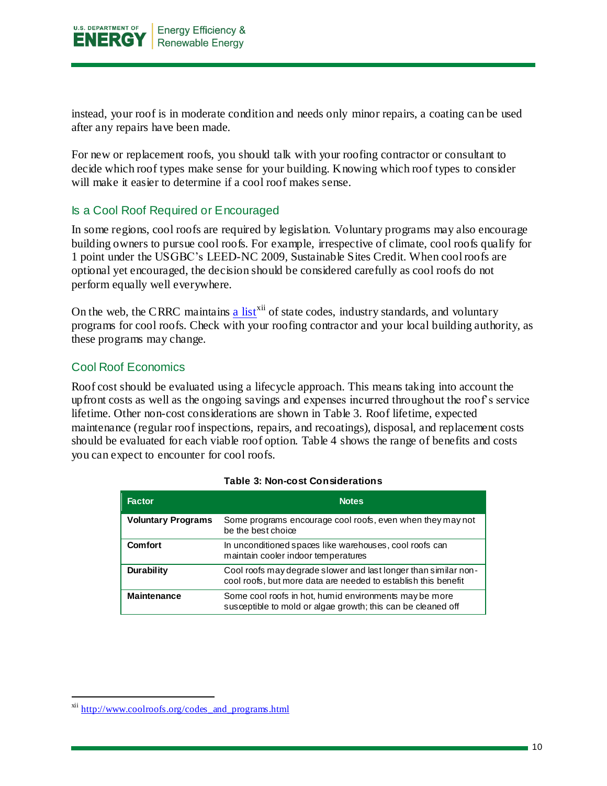

instead, your roof is in moderate condition and needs only minor repairs, a coating can be used after any repairs have been made.

For new or replacement roofs, you should talk with your roofing contractor or consultant to decide which roof types make sense for your building. Knowing which roof types to consider will make it easier to determine if a cool roof makes sense.

#### <span id="page-9-0"></span>Is a Cool Roof Required or Encouraged

In some regions, cool roofs are required by legislation. Voluntary programs may also encourage building owners to pursue cool roofs. For example, irrespective of climate, cool roofs qualify for 1 point under the USGBC's LEED-NC 2009, Sustainable Sites Credit. When cool roofs are optional yet encouraged, the decision should be considered carefully as cool roofs do not perform equally well everywhere.

On the web, the CRRC maintains [a list](http://www.coolroofs.org/codes_and_programs.html)<sup>xii</sup> of state codes, industry standards, and voluntary programs for cool roofs. Check with your roofing contractor and your local building authority, as these programs may change.

#### <span id="page-9-1"></span>Cool Roof Economics

Roof cost should be evaluated using a lifecycle approach. This means taking into account the upfront costs as well as the ongoing savings and expenses incurred throughout the roof's service lifetime. Other non-cost considerations are shown in Table 3. Roof lifetime, expected maintenance (regular roof inspections, repairs, and recoatings), disposal, and replacement costs should be evaluated for each viable roof option. Table 4 shows the range of benefits and costs you can expect to encounter for cool roofs.

| <b>Factor</b>             | <b>Notes</b>                                                                                                                      |
|---------------------------|-----------------------------------------------------------------------------------------------------------------------------------|
| <b>Voluntary Programs</b> | Some programs encourage cool roofs, even when they may not<br>be the best choice                                                  |
| <b>Comfort</b>            | In unconditioned spaces like warehouses, cool roofs can<br>maintain cooler indoor temperatures                                    |
| <b>Durability</b>         | Cool roofs may degrade slower and last longer than similar non-<br>cool roofs, but more data are needed to establish this benefit |
| <b>Maintenance</b>        | Some cool roofs in hot, humid environments may be more<br>susceptible to mold or algae growth; this can be cleaned off            |

#### **Table 3: Non-cost Considerations**

xii [http://www.coolroofs.org/codes\\_and\\_programs.html](http://www.coolroofs.org/codes_and_programs.html)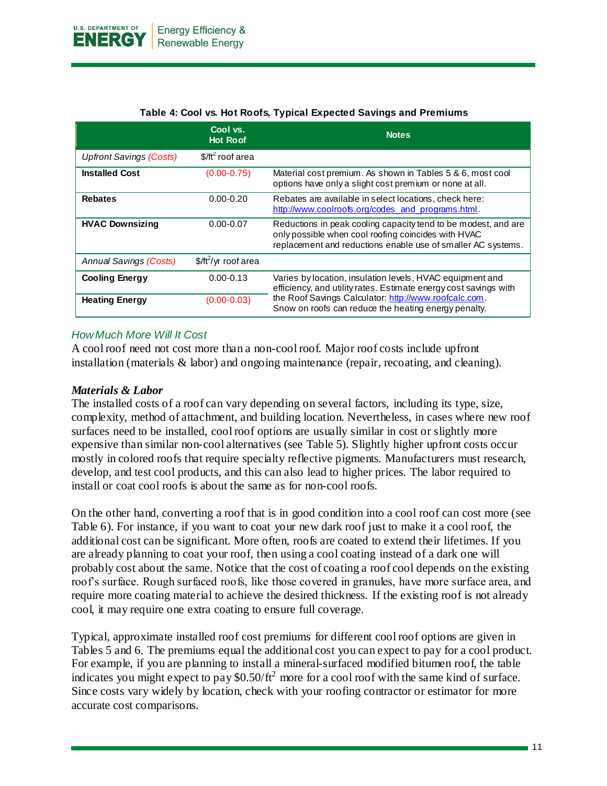|                                        | Cool vs.<br><b>Hot Roof</b> | <b>Notes</b>                                                                                                                                                                          |
|----------------------------------------|-----------------------------|---------------------------------------------------------------------------------------------------------------------------------------------------------------------------------------|
| <b>Upfront Savings (Costs)</b>         | $$/ft^2$ roof area          |                                                                                                                                                                                       |
| <b>Installed Cost</b>                  | $(0.00 - 0.75)$             | Material cost premium. As shown in Tables 5 & 6, most cool<br>options have only a slight cost premium or none at all.                                                                 |
| <b>Rebates</b>                         | $0.00 - 0.20$               | Rebates are available in select locations, check here:<br>http://www.coolroofs.org/codes and programs.html.                                                                           |
| <b>HVAC Downsizing</b>                 | $0.00 - 0.07$               | Reductions in peak cooling capacity tend to be modest, and are<br>only possible when cool roofing coincides with HVAC<br>replacement and reductions enable use of smaller AC systems. |
| <b>Annual Savings (Costs)</b>          | $$/ft^2$ /yr roof area      |                                                                                                                                                                                       |
| <b>Cooling Energy</b><br>$0.00 - 0.13$ |                             | Varies by location, insulation levels, HVAC equipment and<br>efficiency, and utility rates. Estimate energy cost savings with                                                         |
| <b>Heating Energy</b>                  | $(0.00 - 0.03)$             | the Roof Savings Calculator: http://www.roofcalc.com.<br>Snow on roofs can reduce the heating energy penalty.                                                                         |

#### **Table 4: Cool vs. Hot Roofs, Typical Expected Savings and Premiums**

#### *How Much More Will It Cost*

A cool roof need not cost more than a non-cool roof. Major roof costs include upfront installation (materials & labor) and ongoing maintenance (repair, recoating, and cleaning).

#### *Materials & Labor*

The installed costs of a roof can vary depending on several factors, including its type, size, complexity, method of attachment, and building location. Nevertheless, in cases where new roof surfaces need to be installed, cool roof options are usually similar in cost or slightly more expensive than similar non-cool alternatives (see Table 5). Slightly higher upfront costs occur mostly in colored roofs that require specialty reflective pigments. Manufacturers must research, develop, and test cool products, and this can also lead to higher prices. The labor required to install or coat cool roofs is about the same as for non-cool roofs.

On the other hand, converting a roof that is in good condition into a cool roof can cost more (see Table 6). For instance, if you want to coat your new dark roof just to make it a cool roof, the additional cost can be significant. More often, roofs are coated to extend their lifetimes. If you are already planning to coat your roof, then using a cool coating instead of a dark one will probably cost about the same. Notice that the cost of coating a roof cool depends on the existing roof's surface. Rough surfaced roofs, like those covered in granules, have more surface area, and require more coating material to achieve the desired thickness. If the existing roof is not already cool, it may require one extra coating to ensure full coverage.

Typical, approximate installed roof cost premiums for different cool roof options are given in Tables 5 and 6. The premiums equal the additional cost you can expect to pay for a cool product. For example, if you are planning to install a mineral-surfaced modified bitumen roof, the table indicates you might expect to pay  $$0.50/ft^2$  more for a cool roof with the same kind of surface. Since costs vary widely by location, check with your roofing contractor or estimator for more accurate cost comparisons.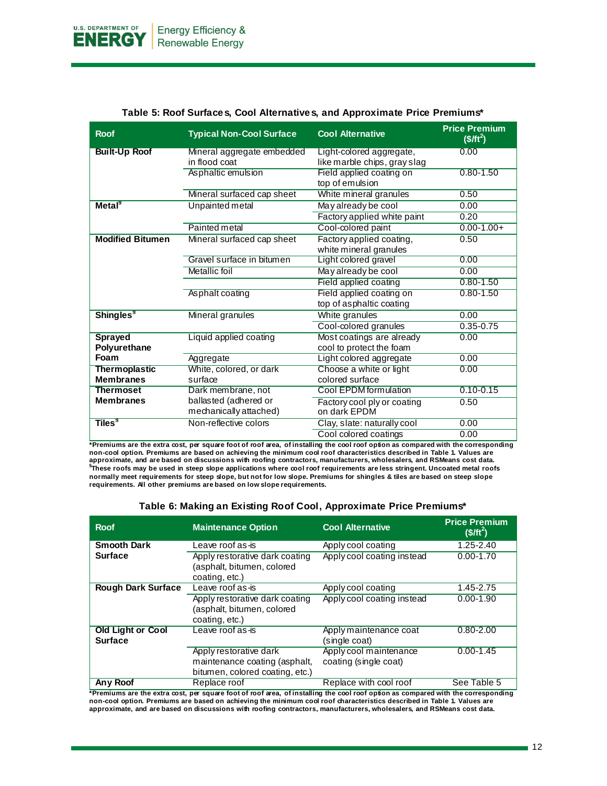| <b>Roof</b>                  | <b>Typical Non-Cool Surface</b> | <b>Cool Alternative</b>      | <b>Price Premium</b><br>$($/ft^2)$ |
|------------------------------|---------------------------------|------------------------------|------------------------------------|
| <b>Built-Up Roof</b>         | Mineral aggregate embedded      | Light-colored aggregate,     | 0.00                               |
|                              | in flood coat                   | like marble chips, gray slag |                                    |
|                              | Asphaltic emulsion              | Field applied coating on     | $0.80 - 1.50$                      |
|                              |                                 | top of emulsion              |                                    |
|                              | Mineral surfaced cap sheet      | White mineral granules       | 0.50                               |
| Metal <sup>9</sup>           | Unpainted metal                 | May already be cool          | 0.00                               |
|                              |                                 | Factory applied white paint  | 0.20                               |
|                              | Painted metal                   | Cool-colored paint           | $0.00 - 1.00 +$                    |
| <b>Modified Bitumen</b>      | Mineral surfaced cap sheet      | Factory applied coating,     | 0.50                               |
|                              |                                 | white mineral granules       |                                    |
|                              | Gravel surface in bitumen       | Light colored gravel         | 0.00                               |
|                              | <b>Metallic</b> foil            | May already be cool          | 0.00                               |
|                              |                                 | Field applied coating        | $0.80 - 1.50$                      |
|                              | Asphalt coating                 | Field applied coating on     | $0.80 - 1.50$                      |
|                              |                                 | top of asphaltic coating     |                                    |
| <b>Shingles</b> <sup>9</sup> | Mineral granules                | White granules               | 0.00                               |
|                              |                                 | Cool-colored granules        | $0.35 - 0.75$                      |
| <b>Sprayed</b>               | Liquid applied coating          | Most coatings are already    | 0.00                               |
| Polyurethane                 |                                 | cool to protect the foam     |                                    |
| Foam                         | Aggregate                       | Light colored aggregate      | 0.00                               |
| <b>Thermoplastic</b>         | White, colored, or dark         | Choose a white or light      | 0.00                               |
| <b>Membranes</b>             | surface                         | colored surface              |                                    |
| <b>Thermoset</b>             | Dark membrane, not              | Cool EPDM formulation        | $0.10 - 0.15$                      |
| <b>Membranes</b>             | ballasted (adhered or           | Factory cool ply or coating  | 0.50                               |
|                              | mechanically attached)          | on dark EPDM                 |                                    |
| Tiles <sup>9</sup>           | Non-reflective colors           | Clay, slate: naturally cool  | 0.00                               |
|                              |                                 | Cool colored coatings        | 0.00                               |

#### **Table 5: Roof Surfaces, Cool Alternatives, and Approximate Price Premiums\***

**\*Premiums are the extra cost, per square foot of roof area, of installing the cool roof option as compared with the corresponding non-cool option. Premiums are based on achieving the minimum cool roof characteristics described in Table 1. Values are**  approximate, and are based on discussions with roofing contractors, manufacturers, wholesalers, and RSMeans cost data.<br><sup>§</sup>These roofs may be used in steep slope applications where cool roof requirements are less stringent. **normally meet requirements for steep slope, but not for low slope. Premiums for shingles & tiles are based on steep slope requirements. All other premiums are based on low slope requirements.**

| Table 6: Making an Existing Roof Cool, Approximate Price Premiums* |
|--------------------------------------------------------------------|
| Data a Dae                                                         |

| <b>Roof</b>                                | <b>Maintenance Option</b>                                                                  | <b>Cool Alternative</b>                         | <b>Price Premium</b><br>$($/ft^2)$ |
|--------------------------------------------|--------------------------------------------------------------------------------------------|-------------------------------------------------|------------------------------------|
| <b>Smooth Dark</b>                         | Leave roof as <del>i</del> s                                                               | Apply cool coating                              | 1.25-2.40                          |
| <b>Surface</b>                             | Apply restorative dark coating<br>(asphalt, bitumen, colored<br>coating, etc.)             | Apply cool coating instead                      | $0.00 - 1.70$                      |
| <b>Rough Dark Surface</b>                  | Leave roof as-is                                                                           | Apply cool coating                              | 1.45-2.75                          |
|                                            | Apply restorative dark coating<br>(asphalt, bitumen, colored<br>coating, etc.)             | Apply cool coating instead                      | $0.00 - 1.90$                      |
| <b>Old Light or Cool</b><br><b>Surface</b> | Leave roof as <del>i</del> s                                                               | Apply maintenance coat<br>(single coat)         | $0.80 - 2.00$                      |
|                                            | Apply restorative dark<br>maintenance coating (asphalt,<br>bitumen, colored coating, etc.) | Apply cool maintenance<br>coating (single coat) | $0.00 - 1.45$                      |
| Any Roof                                   | Replace roof                                                                               | Replace with cool roof                          | See Table 5                        |

**\*Premiums are the extra cost, per square foot of roof area, of installing the cool roof option as compared with the corresponding non-cool option. Premiums are based on achieving the minimum cool roof characteristics described in Table 1. Values are approximate, and are based on discussions with roofing contractors, manufacturers, wholesalers, and RSMeans cost data.**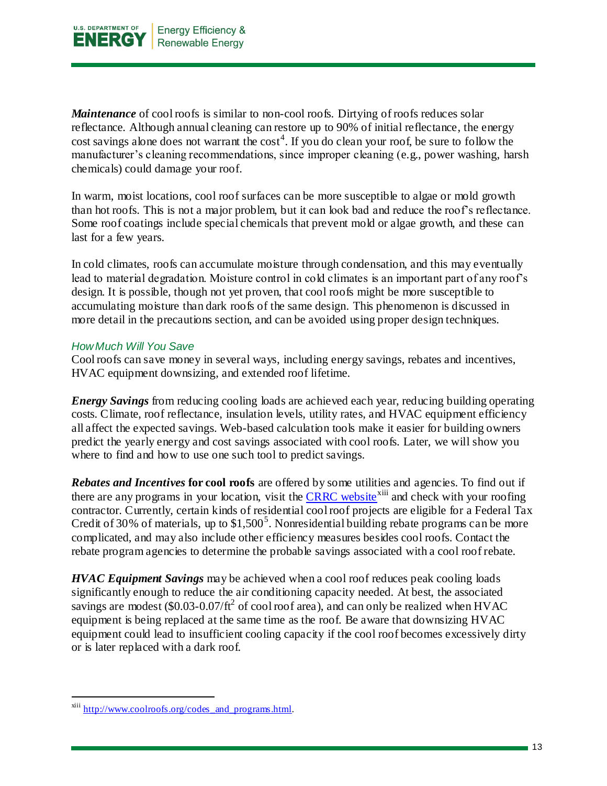

*Maintenance* of cool roofs is similar to non-cool roofs. Dirtying of roofs reduces solar reflectance. Although annual cleaning can restore up to 90% of initial reflectance, the energy cost savings alone does not warrant the  $\cos t^4$ . If you do clean your roof, be sure to follow the manufacturer's cleaning recommendations, since improper cleaning (e.g., power washing, harsh chemicals) could damage your roof.

In warm, moist locations, cool roof surfaces can be more susceptible to algae or mold growth than hot roofs. This is not a major problem, but it can look bad and reduce the roof's reflectance. Some roof coatings include special chemicals that prevent mold or algae growth, and these can last for a few years.

In cold climates, roofs can accumulate moisture through condensation, and this may eventually lead to material degradation. Moisture control in cold climates is an important part of any roof's design. It is possible, though not yet proven, that cool roofs might be more susceptible to accumulating moisture than dark roofs of the same design. This phenomenon is discussed in more detail in the precautions section, and can be avoided using proper design techniques.

#### *How Much Will You Save*

Cool roofs can save money in several ways, including energy savings, rebates and incentives, HVAC equipment downsizing, and extended roof lifetime.

*Energy Savings* from reducing cooling loads are achieved each year, reducing building operating costs. Climate, roof reflectance, insulation levels, utility rates, and HVAC equipment efficiency all affect the expected savings. Web-based calculation tools make it easier for building owners predict the yearly energy and cost savings associated with cool roofs. Later, we will show you where to find and how to use one such tool to predict savings.

*Rebates and Incentives* **for cool roofs** are offered by some utilities and agencies. To find out if there are any programs in your location, visit the [CRRC website](http://www.coolroofs.org/codes_and_programs.html)<sup>xiii</sup> and check with your roofing contractor. Currently, certain kinds of residential cool roof projects are eligible for a Federal Tax Credit of 30% of materials, up to  $$1,500^5$ . Nonresidential building rebate programs can be more complicated, and may also include other efficiency measures besides cool roofs. Contact the rebate program agencies to determine the probable savings associated with a cool roof rebate.

*HVAC Equipment Savings* may be achieved when a cool roof reduces peak cooling loads significantly enough to reduce the air conditioning capacity needed. At best, the associated savings are modest  $(\$0.03-0.07/ft^2$  of cool roof area), and can only be realized when HVAC equipment is being replaced at the same time as the roof. Be aware that downsizing HVAC equipment could lead to insufficient cooling capacity if the cool roof becomes excessively dirty or is later replaced with a dark roof.

xiii [http://www.coolroofs.org/codes\\_and\\_programs.html.](http://www.coolroofs.org/codes_and_programs.html)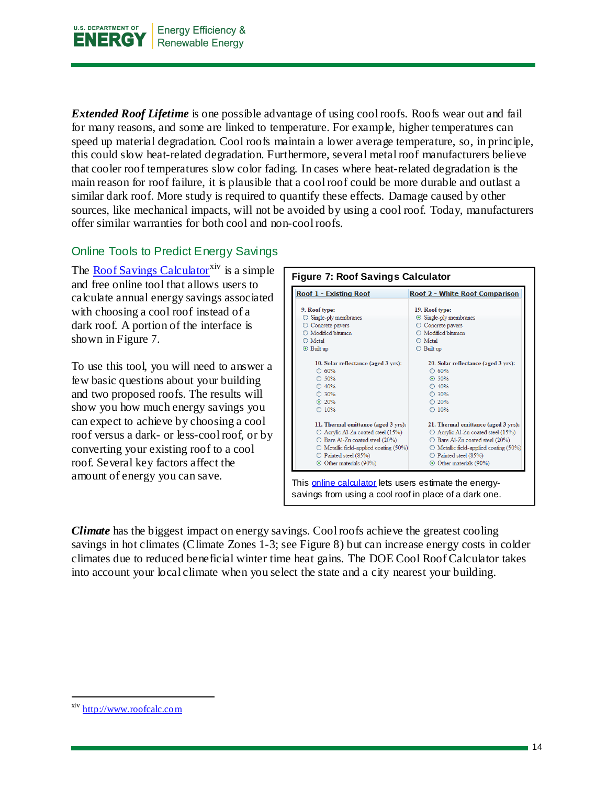

*Extended Roof Lifetime* is one possible advantage of using cool roofs. Roofs wear out and fail for many reasons, and some are linked to temperature. For example, higher temperatures can speed up material degradation. Cool roofs maintain a lower average temperature, so, in principle, this could slow heat-related degradation. Furthermore, several metal roof manufacturers believe that cooler roof temperatures slow color fading. In cases where heat-related degradation is the main reason for roof failure, it is plausible that a cool roof could be more durable and outlast a similar dark roof. More study is required to quantify these effects. Damage caused by other sources, like mechanical impacts, will not be avoided by using a cool roof. Today, manufacturers offer similar warranties for both cool and non-cool roofs.

#### <span id="page-13-0"></span>Online Tools to Predict Energy Savings

The [Roof Savings Calculator](http://www.roofcalc.com/)<sup>xiv</sup> is a simple and free online tool that allows users to calculate annual energy savings associated with choosing a cool roof instead of a dark roof. A portion of the interface is shown in Figure 7.

To use this tool, you will need to answer a few basic questions about your building and two proposed roofs. The results will show you how much energy savings you can expect to achieve by choosing a cool roof versus a dark- or less-cool roof, or by converting your existing roof to a cool roof. Several key factors affect the amount of energy you can save.



*Climate* has the biggest impact on energy savings. Cool roofs achieve the greatest cooling savings in hot climates (Climate Zones 1-3; see Figure 8) but can increase energy costs in colder climates due to reduced beneficial winter time heat gains. The DOE Cool Roof Calculator takes into account your local climate when you select the state and a city nearest your building.

xiv [http://www.roofcalc.com](http://www.roofcalc.com/)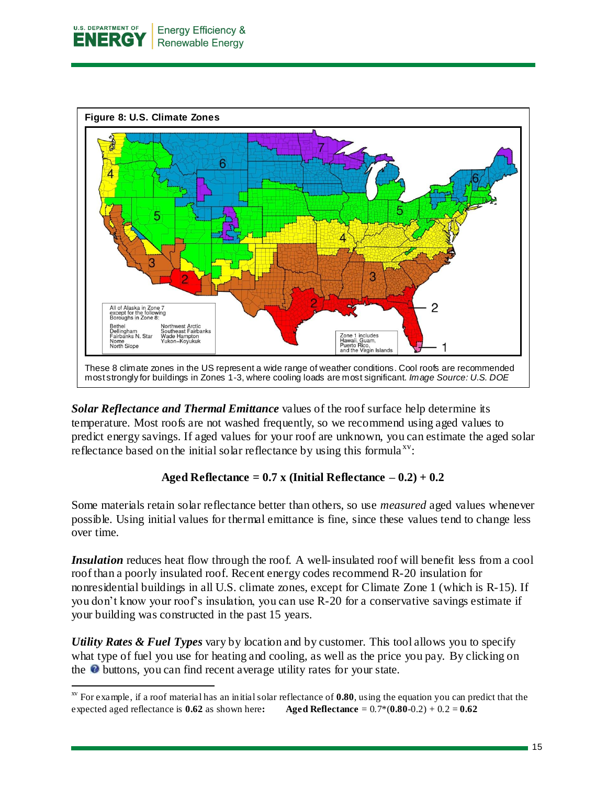

l



*Solar Reflectance and Thermal Emittance* values of the roof surface help determine its temperature. Most roofs are not washed frequently, so we recommend using aged values to predict energy savings. If aged values for your roof are unknown, you can estimate the aged solar reflectance based on the initial solar reflectance by using this formula<sup> $xy$ </sup>:

#### Aged Reflectance =  $0.7$  x (Initial Reflectance  $-0.2$ ) +  $0.2$

Some materials retain solar reflectance better than others, so use *measured* aged values whenever possible. Using initial values for thermal emittance is fine, since these values tend to change less over time.

*Insulation* reduces heat flow through the roof. A well-insulated roof will benefit less from a cool roof than a poorly insulated roof. Recent energy codes recommend R-20 insulation for nonresidential buildings in all U.S. climate zones, except for Climate Zone 1 (which is R-15). If you don't know your roof's insulation, you can use R-20 for a conservative savings estimate if your building was constructed in the past 15 years.

*Utility Rates & Fuel Types* vary by location and by customer. This tool allows you to specify what type of fuel you use for heating and cooling, as well as the price you pay. By clicking on the  $\bullet$  buttons, you can find recent average utility rates for your state.

xv For example, if a roof material has an initial solar reflectance of **0.80**, using the equation you can predict that the expected aged reflectance is **0.62** as shown here**: Aged Reflectance** = 0.7\*(**0.80**-0.2) + 0.2 = **0.62**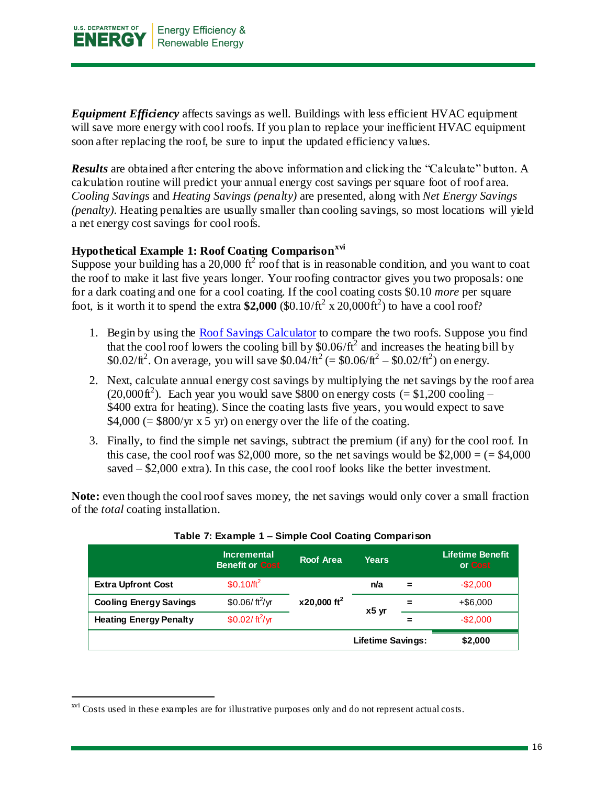

*Equipment Efficiency* affects savings as well. Buildings with less efficient HVAC equipment will save more energy with cool roofs. If you plan to replace your inefficient HVAC equipment soon after replacing the roof, be sure to input the updated efficiency values.

*Results* are obtained after entering the above information and clicking the "Calculate" button. A calculation routine will predict your annual energy cost savings per square foot of roof area. *Cooling Savings* and *Heating Savings (penalty)* are presented, along with *Net Energy Savings (penalty)*. Heating penalties are usually smaller than cooling savings, so most locations will yield a net energy cost savings for cool roofs.

#### **Hypothetical Example 1: Roof Coating Comparisonxvi**

Suppose your building has a 20,000  $\text{ft}^2$  roof that is in reasonable condition, and you want to coat the roof to make it last five years longer. Your roofing contractor gives you two proposals: one for a dark coating and one for a cool coating. If the cool coating costs \$0.10 *more* per square foot, is it worth it to spend the extra  $$2,000$  (\$0.10/ft<sup>2</sup> x 20,000ft<sup>2</sup>) to have a cool roof?

- 1. Begin by using the [Roof Savings Calculator](http://www.roofcalc.com/) to compare the two roofs. Suppose you find that the cool roof lowers the cooling bill by  $$0.06/ft^2$  and increases the heating bill by \$0.02/ $\text{ft}^2$ . On average, you will save \$0.04/ $\text{ft}^2$  (= \$0.06/ $\text{ft}^2$  – \$0.02/ $\text{ft}^2$ ) on energy.
- 2. Next, calculate annual energy cost savings by multiplying the net savings by the roof area  $(20,000\text{ft}^2)$ . Each year you would save \$800 on energy costs (= \$1,200 cooling – \$400 extra for heating). Since the coating lasts five years, you would expect to save  $$4,000$  (= \$800/yr x 5 yr) on energy over the life of the coating.
- 3. Finally, to find the simple net savings, subtract the premium (if any) for the cool roof. In this case, the cool roof was \$2,000 more, so the net savings would be  $$2,000 = (= $4,000$ saved – \$2,000 extra). In this case, the cool roof looks like the better investment.

**Note:** even though the cool roof saves money, the net savings would only cover a small fraction of the *total* coating installation.

|                               | <b>Incremental</b><br><b>Benefit or Cost</b> | <b>Roof Area</b>          | <b>Years</b>      |          | <b>Lifetime Benefit</b><br>or Cost |
|-------------------------------|----------------------------------------------|---------------------------|-------------------|----------|------------------------------------|
| <b>Extra Upfront Cost</b>     | $$0.10/ft^2$                                 |                           | n/a               | $\equiv$ | $-$2,000$                          |
| <b>Cooling Energy Savings</b> | \$0.06/ft <sup>2</sup> /yr                   | $x20,000$ ft <sup>2</sup> | $x5$ yr           | =        | $+$ \$6,000                        |
| <b>Heating Energy Penalty</b> | \$0.02/ $\frac{\text{ft}^2}{\text{yr}}$      |                           |                   | =        | $-$2,000$                          |
|                               |                                              |                           | Lifetime Savings: |          | \$2,000                            |

#### **Table 7: Example 1 – Simple Cool Coating Comparison**

<sup>&</sup>lt;sup>xvi</sup> Costs used in these examples are for illustrative purposes only and do not represent actual costs.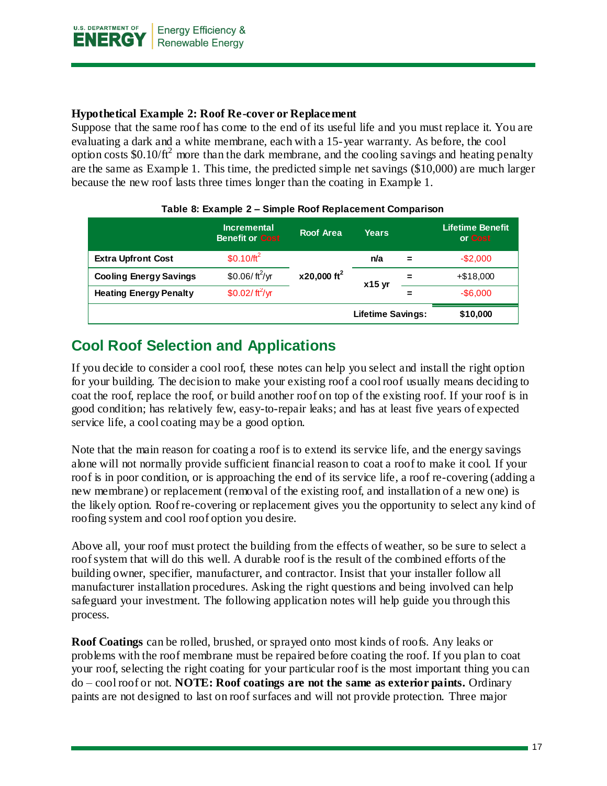

#### **Hypothetical Example 2: Roof Re-cover or Replacement**

Suppose that the same roof has come to the end of its useful life and you must replace it. You are evaluating a dark and a white membrane, each with a 15-year warranty. As before, the cool option costs  $$0.10/ft^2$  more than the dark membrane, and the cooling savings and heating penalty are the same as Example 1. This time, the predicted simple net savings (\$10,000) are much larger because the new roof lasts three times longer than the coating in Example 1.

|                               | <b>Incremental</b><br><b>Benefit or Cost</b> | <b>Roof Area</b>          | Years                    |     | <b>Lifetime Benefit</b><br>or Cost |
|-------------------------------|----------------------------------------------|---------------------------|--------------------------|-----|------------------------------------|
| <b>Extra Upfront Cost</b>     | \$0.10/ $ft^2$                               |                           | n/a                      | $=$ | $-$2,000$                          |
| <b>Cooling Energy Savings</b> | \$0.06/ft <sup>2</sup> /yr                   | $x20,000$ ft <sup>2</sup> | $x15$ yr                 | =   | $+ $18,000$                        |
| <b>Heating Energy Penalty</b> | \$0.02/ $\frac{\text{ft}^2}{\text{yr}}$      |                           |                          |     | $-$6,000$                          |
|                               |                                              |                           | <b>Lifetime Savings:</b> |     | \$10,000                           |

#### **Table 8: Example 2 – Simple Roof Replacement Comparison**

## <span id="page-16-0"></span>**Cool Roof Selection and Applications**

If you decide to consider a cool roof, these notes can help you select and install the right option for your building. The decision to make your existing roof a cool roof usually means deciding to coat the roof, replace the roof, or build another roof on top of the existing roof. If your roof is in good condition; has relatively few, easy-to-repair leaks; and has at least five years of expected service life, a cool coating may be a good option.

Note that the main reason for coating a roof is to extend its service life, and the energy savings alone will not normally provide sufficient financial reason to coat a roof to make it cool. If your roof is in poor condition, or is approaching the end of its service life, a roof re-covering (adding a new membrane) or replacement (removal of the existing roof, and installation of a new one) is the likely option. Roof re-covering or replacement gives you the opportunity to select any kind of roofing system and cool roof option you desire.

Above all, your roof must protect the building from the effects of weather, so be sure to select a roof system that will do this well. A durable roof is the result of the combined efforts of the building owner, specifier, manufacturer, and contractor. Insist that your installer follow all manufacturer installation procedures. Asking the right questions and being involved can help safeguard your investment. The following application notes will help guide you through this process.

**Roof Coatings** can be rolled, brushed, or sprayed onto most kinds of roofs. Any leaks or problems with the roof membrane must be repaired before coating the roof. If you plan to coat your roof, selecting the right coating for your particular roof is the most important thing you can do – cool roof or not. **NOTE: Roof coatings are not the same as exterior paints.** Ordinary paints are not designed to last on roof surfaces and will not provide protection. Three major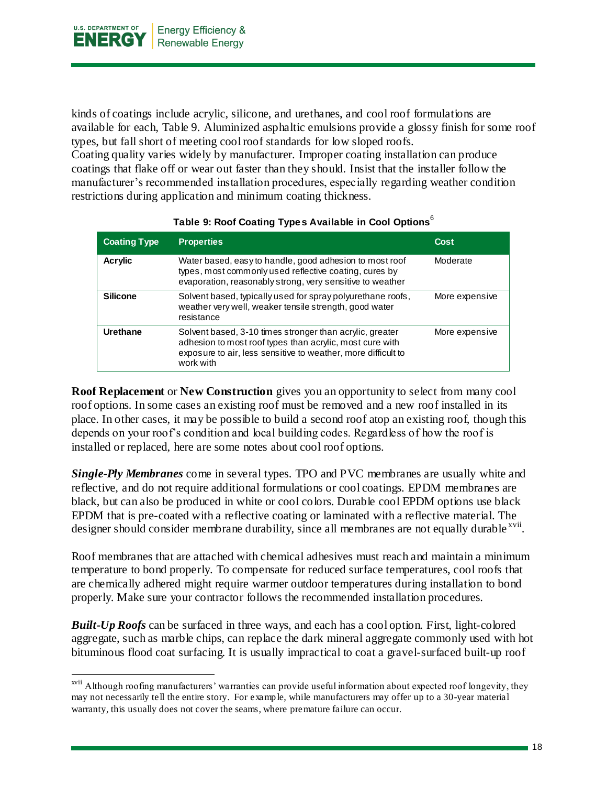

l

kinds of coatings include acrylic, silicone, and urethanes, and cool roof formulations are available for each, Table 9. Aluminized asphaltic emulsions provide a glossy finish for some roof types, but fall short of meeting cool roof standards for low sloped roofs.

Coating quality varies widely by manufacturer. Improper coating installation can produce coatings that flake off or wear out faster than they should. Insist that the installer follow the manufacturer's recommended installation procedures, especially regarding weather condition restrictions during application and minimum coating thickness.

| <b>Coating Type</b> | <b>Properties</b>                                                                                                                                                                                  | Cost           |
|---------------------|----------------------------------------------------------------------------------------------------------------------------------------------------------------------------------------------------|----------------|
| <b>Acrylic</b>      | Water based, easy to handle, good adhesion to most roof<br>types, most commonly used reflective coating, cures by<br>evaporation, reasonably strong, very sensitive to weather                     | Moderate       |
| <b>Silicone</b>     | Solvent based, typically used for spray polyurethane roofs,<br>weather very well, weaker tensile strength, good water<br>resistance                                                                | More expensive |
| Urethane            | Solvent based, 3-10 times stronger than acrylic, greater<br>adhesion to most roof types than acrylic, most cure with<br>exposure to air, less sensitive to weather, more difficult to<br>work with | More expensive |

#### **Table 9: Roof Coating Types Available in Cool Options**<sup>6</sup>

**Roof Replacement** or **New Construction** gives you an opportunity to select from many cool roof options. In some cases an existing roof must be removed and a new roof installed in its place. In other cases, it may be possible to build a second roof atop an existing roof, though this depends on your roof's condition and local building codes. Regardless of how the roof is installed or replaced, here are some notes about cool roof options.

*Single-Ply Membranes* come in several types. TPO and PVC membranes are usually white and reflective, and do not require additional formulations or cool coatings. EPDM membranes are black, but can also be produced in white or cool colors. Durable cool EPDM options use black EPDM that is pre-coated with a reflective coating or laminated with a reflective material. The designer should consider membrane durability, since all membranes are not equally durable xvii.

Roof membranes that are attached with chemical adhesives must reach and maintain a minimum temperature to bond properly. To compensate for reduced surface temperatures, cool roofs that are chemically adhered might require warmer outdoor temperatures during installation to bond properly. Make sure your contractor follows the recommended installation procedures.

*Built-Up Roofs* can be surfaced in three ways, and each has a cool option. First, light-colored aggregate, such as marble chips, can replace the dark mineral aggregate commonly used with hot bituminous flood coat surfacing. It is usually impractical to coat a gravel-surfaced built-up roof

xvii Although roofing manufacturers' warranties can provide useful information about expected roof longevity, they may not necessarily tell the entire story. For example, while manufacturers may offer up to a 30-year material warranty, this usually does not cover the seams, where premature failure can occur.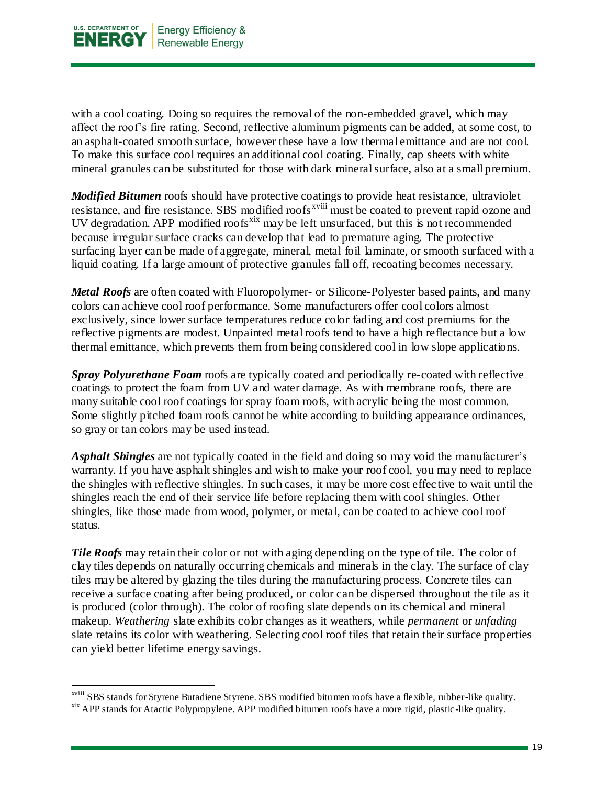

l

with a cool coating. Doing so requires the removal of the non-embedded gravel, which may affect the roof's fire rating. Second, reflective aluminum pigments can be added, at some cost, to an asphalt-coated smooth surface, however these have a low thermal emittance and are not cool. To make this surface cool requires an additional cool coating. Finally, cap sheets with white mineral granules can be substituted for those with dark mineral surface, also at a small premium.

*Modified Bitumen* roofs should have protective coatings to provide heat resistance, ultraviolet resistance, and fire resistance. SBS modified roofs<sup>xviii</sup> must be coated to prevent rapid ozone and UV degradation. APP modified roofs<sup>xix</sup> may be left unsurfaced, but this is not recommended because irregular surface cracks can develop that lead to premature aging. The protective surfacing layer can be made of aggregate, mineral, metal foil laminate, or smooth surfaced with a liquid coating. If a large amount of protective granules fall off, recoating becomes necessary.

*Metal Roofs* are often coated with Fluoropolymer- or Silicone-Polyester based paints, and many colors can achieve cool roof performance. Some manufacturers offer cool colors almost exclusively, since lower surface temperatures reduce color fading and cost premiums for the reflective pigments are modest. Unpainted metal roofs tend to have a high reflectance but a low thermal emittance, which prevents them from being considered cool in low slope applications.

*Spray Polyurethane Foam* roofs are typically coated and periodically re-coated with reflective coatings to protect the foam from UV and water damage. As with membrane roofs, there are many suitable cool roof coatings for spray foam roofs, with acrylic being the most common. Some slightly pitched foam roofs cannot be white according to building appearance ordinances, so gray or tan colors may be used instead.

*Asphalt Shingles* are not typically coated in the field and doing so may void the manufacturer's warranty. If you have asphalt shingles and wish to make your roof cool, you may need to replace the shingles with reflective shingles. In such cases, it may be more cost effec tive to wait until the shingles reach the end of their service life before replacing them with cool shingles. Other shingles, like those made from wood, polymer, or metal, can be coated to achieve cool roof status.

*Tile Roofs* may retain their color or not with aging depending on the type of tile. The color of clay tiles depends on naturally occurring chemicals and minerals in the clay. The surface of clay tiles may be altered by glazing the tiles during the manufacturing process. Concrete tiles can receive a surface coating after being produced, or color can be dispersed throughout the tile as it is produced (color through). The color of roofing slate depends on its chemical and mineral makeup. *Weathering* slate exhibits color changes as it weathers, while *permanent* or *unfading* slate retains its color with weathering. Selecting cool roof tiles that retain their surface properties can yield better lifetime energy savings.

xviii SBS stands for Styrene Butadiene Styrene. SBS modified bitumen roofs have a flexible, rubber-like quality.

<sup>&</sup>lt;sup>xix</sup> APP stands for Atactic Polypropylene. APP modified bitumen roofs have a more rigid, plastic-like quality.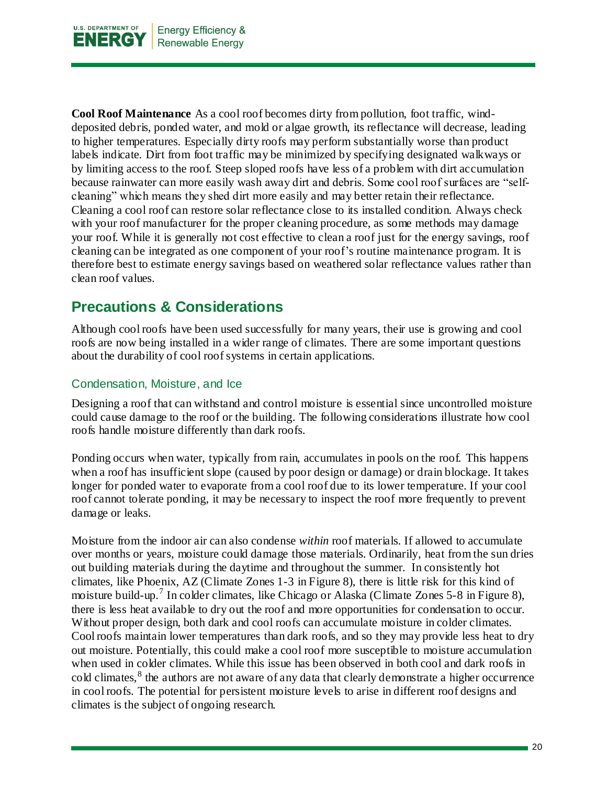

**Cool Roof Maintenance** As a cool roof becomes dirty from pollution, foot traffic, winddeposited debris, ponded water, and mold or algae growth, its reflectance will decrease, leading to higher temperatures. Especially dirty roofs may perform substantially worse than product labels indicate. Dirt from foot traffic may be minimized by specifying designated walkways or by limiting access to the roof. Steep sloped roofs have less of a problem with dirt accumulation because rainwater can more easily wash away dirt and debris. Some cool roof surfaces are "selfcleaning" which means they shed dirt more easily and may better retain their reflectance. Cleaning a cool roof can restore solar reflectance close to its installed condition. Always check with your roof manufacturer for the proper cleaning procedure, as some methods may damage your roof. While it is generally not cost effective to clean a roof just for the energy savings, roof cleaning can be integrated as one component of your roof's routine maintenance program. It is therefore best to estimate energy savings based on weathered solar reflectance values rather than clean roof values.

## <span id="page-19-0"></span>**Precautions & Considerations**

Although cool roofs have been used successfully for many years, their use is growing and cool roofs are now being installed in a wider range of climates. There are some important questions about the durability of cool roof systems in certain applications.

#### <span id="page-19-1"></span>Condensation, Moisture, and Ice

Designing a roof that can withstand and control moisture is essential since uncontrolled moisture could cause damage to the roof or the building. The following considerations illustrate how cool roofs handle moisture differently than dark roofs.

Ponding occurs when water, typically from rain, accumulates in pools on the roof. This happens when a roof has insufficient slope (caused by poor design or damage) or drain blockage. It takes longer for ponded water to evaporate from a cool roof due to its lower temperature. If your cool roof cannot tolerate ponding, it may be necessary to inspect the roof more frequently to prevent damage or leaks.

Moisture from the indoor air can also condense *within* roof materials. If allowed to accumulate over months or years, moisture could damage those materials. Ordinarily, heat from the sun dries out building materials during the daytime and throughout the summer. In consistently hot climates, like Phoenix, AZ (Climate Zones 1-3 in Figure 8), there is little risk for this kind of moisture build-up.<sup>7</sup> In colder climates, like Chicago or Alaska (Climate Zones 5-8 in Figure 8), there is less heat available to dry out the roof and more opportunities for condensation to occur. Without proper design, both dark and cool roofs can accumulate moisture in colder climates. Cool roofs maintain lower temperatures than dark roofs, and so they may provide less heat to dry out moisture. Potentially, this could make a cool roof more susceptible to moisture accumulation when used in colder climates. While this issue has been observed in both cool and dark roofs in cold climates,<sup>8</sup> the authors are not aware of any data that clearly demonstrate a higher occurrence in cool roofs. The potential for persistent moisture levels to arise in different roof designs and climates is the subject of ongoing research.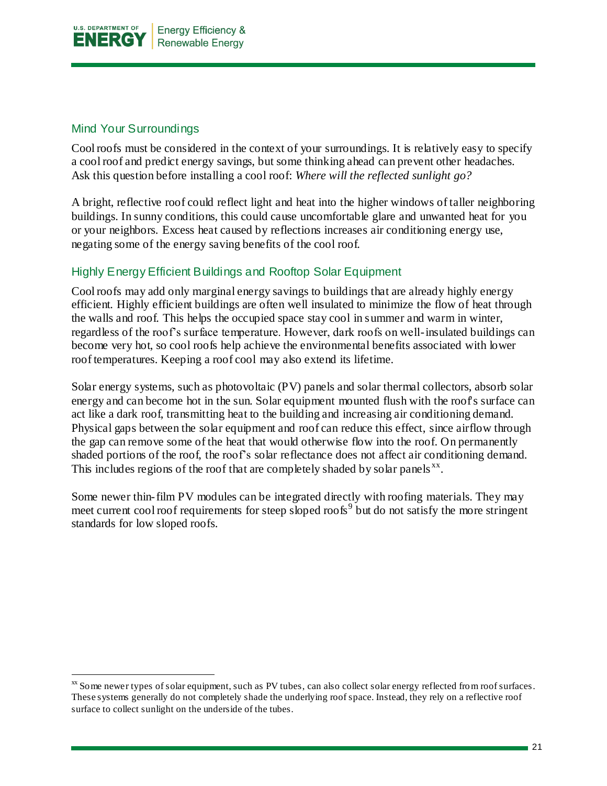

#### <span id="page-20-0"></span>Mind Your Surroundings

l

Cool roofs must be considered in the context of your surroundings. It is relatively easy to specify a cool roof and predict energy savings, but some thinking ahead can prevent other headaches. Ask this question before installing a cool roof: *Where will the reflected sunlight go?*

A bright, reflective roof could reflect light and heat into the higher windows of taller neighboring buildings. In sunny conditions, this could cause uncomfortable glare and unwanted heat for you or your neighbors. Excess heat caused by reflections increases air conditioning energy use, negating some of the energy saving benefits of the cool roof.

#### Highly Energy Efficient Buildings and Rooftop Solar Equipment

Cool roofs may add only marginal energy savings to buildings that are already highly energy efficient. Highly efficient buildings are often well insulated to minimize the flow of heat through the walls and roof. This helps the occupied space stay cool in summer and warm in winter, regardless of the roof's surface temperature. However, dark roofs on well-insulated buildings can become very hot, so cool roofs help achieve the environmental benefits associated with lower roof temperatures. Keeping a roof cool may also extend its lifetime.

Solar energy systems, such as photovoltaic (PV) panels and solar thermal collectors, absorb solar energy and can become hot in the sun. Solar equipment mounted flush with the roof's surface can act like a dark roof, transmitting heat to the building and increasing air conditioning demand. Physical gaps between the solar equipment and roof can reduce this effect, since airflow through the gap can remove some of the heat that would otherwise flow into the roof. On permanently shaded portions of the roof, the roof's solar reflectance does not affect air conditioning demand. This includes regions of the roof that are completely shaded by solar panels  $^{xx}$ .

Some newer thin-film PV modules can be integrated directly with roofing materials. They may meet current cool roof requirements for steep sloped roofs<sup>9</sup> but do not satisfy the more stringent standards for low sloped roofs.

xx Some newer types of solar equipment, such as PV tubes, can also collect solar energy reflected from roof surfaces. These systems generally do not completely shade the underlying roof space. Instead, they rely on a reflective roof surface to collect sunlight on the underside of the tubes.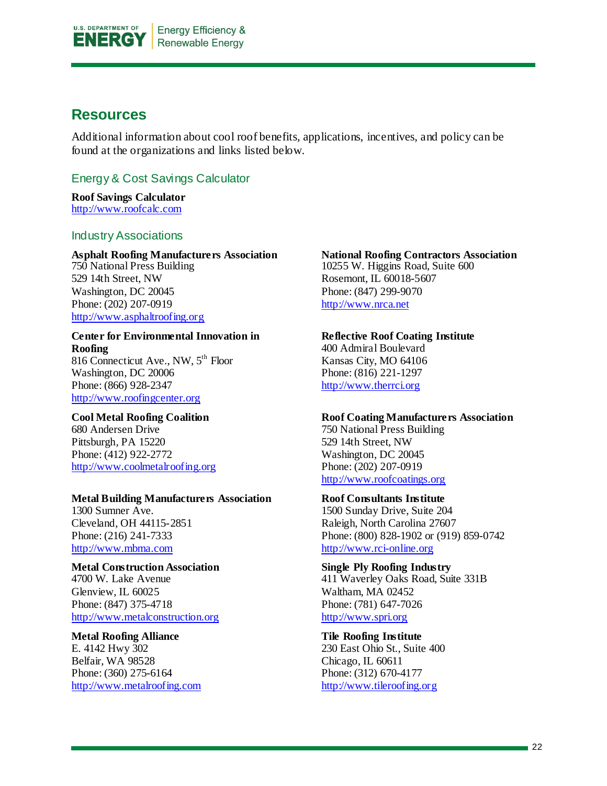

### <span id="page-21-0"></span>**Resources**

Additional information about cool roof benefits, applications, incentives, and policy can be found at the organizations and links listed below.

#### <span id="page-21-1"></span>Energy & Cost Savings Calculator

**Roof Savings Calculator** [http://www.roofcalc.com](http://www.roofcalc.com/)

#### <span id="page-21-2"></span>Industry Associations

**Asphalt Roofing Manufacturers Association** 750 National Press Building 529 14th Street, NW Washington, DC 20045 Phone: (202) 207-0919 [http://www.asphaltroofing.org](http://www.asphaltroofing.org/)

#### **Center for Environmental Innovation in Roofing** 816 Connecticut Ave., NW, 5<sup>th</sup> Floor

Washington, DC 20006 Phone: (866) 928-2347 [http://www.roofingcenter.org](http://www.roofingcenter.org/)

#### **Cool Metal Roofing Coalition** 680 Andersen Drive Pittsburgh, PA 15220

Phone: (412) 922-2772 [http://www.coolmetalroofing.org](http://www.coolmetalroofing.org/)

#### **Metal Building Manufacturers Association**

1300 Sumner Ave. Cleveland, OH 44115-2851 Phone: (216) 241-7333 [http://www.mbma.com](http://www.mbma.com/)

#### **Metal Construction Association**

4700 W. Lake Avenue Glenview, IL 60025 Phone: (847) 375-4718 [http://www.metalconstruction.org](http://www.metalconstruction.org/)

#### **Metal Roofing Alliance**

E. 4142 Hwy 302 Belfair, WA 98528 Phone: (360) 275-6164 [http://www.metalroofing.com](http://www.metalroofing.com/)

#### **National Roofing Contractors Association**  10255 W. Higgins Road, Suite 600 Rosemont, IL 60018-5607 Phone: (847) 299-9070 [http://www.nrca.net](http://www.nrca.net/)

#### **Reflective Roof Coating Institute**

400 Admiral Boulevard Kansas City, MO 64106 Phone: (816) 221-1297 [http://www.therrci.org](http://www.therrci.org/)

#### **Roof Coating Manufacturers Association**

750 National Press Building 529 14th Street, NW Washington, DC 20045 Phone: (202) 207-0919 [http://www.roofcoatings.org](http://www.roofcoatings.org/)

#### **Roof Consultants Institute**

1500 Sunday Drive, Suite 204 Raleigh, North Carolina 27607 Phone: (800) 828-1902 or (919) 859-0742 [http://www.rci-online.org](http://www.rci-online.org/)

#### **Single Ply Roofing Industry** 411 Waverley Oaks Road, Suite 331B

Waltham, MA 02452 Phone: (781) 647-7026 [http://www.spri.org](http://www.spri.org/)

#### **Tile Roofing Institute**

230 East Ohio St., Suite 400 Chicago, IL 60611 Phone: (312) 670-4177 [http://www.tileroofing.org](http://www.tileroofing.org/)